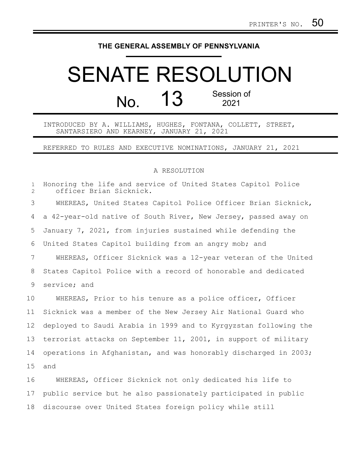## **THE GENERAL ASSEMBLY OF PENNSYLVANIA**

## SENATE RESOLUTION No. 13 Session of 2021

INTRODUCED BY A. WILLIAMS, HUGHES, FONTANA, COLLETT, STREET, SANTARSIERO AND KEARNEY, JANUARY 21, 2021

REFERRED TO RULES AND EXECUTIVE NOMINATIONS, JANUARY 21, 2021

## A RESOLUTION

| $\mathbf{1}$<br>$\overline{2}$ | Honoring the life and service of United States Capitol Police<br>officer Brian Sicknick. |
|--------------------------------|------------------------------------------------------------------------------------------|
| 3                              | WHEREAS, United States Capitol Police Officer Brian Sicknick,                            |
| 4                              | a 42-year-old native of South River, New Jersey, passed away on                          |
| 5                              | January 7, 2021, from injuries sustained while defending the                             |
| 6                              | United States Capitol building from an angry mob; and                                    |
| 7                              | WHEREAS, Officer Sicknick was a 12-year veteran of the United                            |
| 8                              | States Capitol Police with a record of honorable and dedicated                           |
| 9                              | service; and                                                                             |
| 10                             | WHEREAS, Prior to his tenure as a police officer, Officer                                |
| 11                             | Sicknick was a member of the New Jersey Air National Guard who                           |
| 12                             | deployed to Saudi Arabia in 1999 and to Kyrgyzstan following the                         |
| 13                             | terrorist attacks on September 11, 2001, in support of military                          |
| 14                             | operations in Afghanistan, and was honorably discharged in 2003;                         |
| 15 <sub>1</sub>                | and                                                                                      |

WHEREAS, Officer Sicknick not only dedicated his life to public service but he also passionately participated in public discourse over United States foreign policy while still 16 17 18